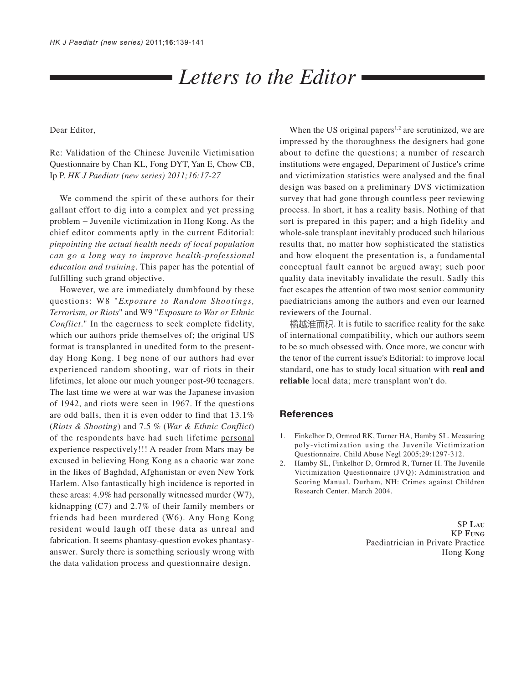# *Letters to the Editor*

Dear Editor,

Re: Validation of the Chinese Juvenile Victimisation Questionnaire by Chan KL, Fong DYT, Yan E, Chow CB, Ip P. *HK J Paediatr (new series) 2011;16:17-27*

We commend the spirit of these authors for their gallant effort to dig into a complex and yet pressing problem − Juvenile victimization in Hong Kong. As the chief editor comments aptly in the current Editorial: *pinpointing the actual health needs of local population can go a long way to improve health-professional education and training*. This paper has the potential of fulfilling such grand objective.

However, we are immediately dumbfound by these questions: W8 "*Exposure to Random Shootings, Terrorism, or Riots*" and W9 "*Exposure to War or Ethnic Conflict*." In the eagerness to seek complete fidelity, which our authors pride themselves of; the original US format is transplanted in unedited form to the presentday Hong Kong. I beg none of our authors had ever experienced random shooting, war of riots in their lifetimes, let alone our much younger post-90 teenagers. The last time we were at war was the Japanese invasion of 1942, and riots were seen in 1967. If the questions are odd balls, then it is even odder to find that 13.1% (*Riots & Shooting*) and 7.5 % (*War & Ethnic Conflict*) of the respondents have had such lifetime personal experience respectively!!! A reader from Mars may be excused in believing Hong Kong as a chaotic war zone in the likes of Baghdad, Afghanistan or even New York Harlem. Also fantastically high incidence is reported in these areas: 4.9% had personally witnessed murder (W7), kidnapping (C7) and 2.7% of their family members or friends had been murdered (W6). Any Hong Kong resident would laugh off these data as unreal and fabrication. It seems phantasy-question evokes phantasyanswer. Surely there is something seriously wrong with the data validation process and questionnaire design.

When the US original papers<sup>1,2</sup> are scrutinized, we are impressed by the thoroughness the designers had gone about to define the questions; a number of research institutions were engaged, Department of Justice's crime and victimization statistics were analysed and the final design was based on a preliminary DVS victimization survey that had gone through countless peer reviewing process. In short, it has a reality basis. Nothing of that sort is prepared in this paper; and a high fidelity and whole-sale transplant inevitably produced such hilarious results that, no matter how sophisticated the statistics and how eloquent the presentation is, a fundamental conceptual fault cannot be argued away; such poor quality data inevitably invalidate the result. Sadly this fact escapes the attention of two most senior community paediatricians among the authors and even our learned reviewers of the Journal.

橘越淮而枳. It is futile to sacrifice reality for the sake of international compatibility, which our authors seem to be so much obsessed with. Once more, we concur with the tenor of the current issue's Editorial: to improve local standard, one has to study local situation with **real and reliable** local data; mere transplant won't do.

## **References**

- 1. Finkelhor D, Ormrod RK, Turner HA, Hamby SL. Measuring poly-victimization using the Juvenile Victimization Questionnaire. Child Abuse Negl 2005;29:1297-312.
- 2. Hamby SL, Finkelhor D, Ormrod R, Turner H. The Juvenile Victimization Questionnaire (JVQ): Administration and Scoring Manual. Durham, NH: Crimes against Children Research Center. March 2004.

SP **LAU** KP **FUNG** Paediatrician in Private Practice Hong Kong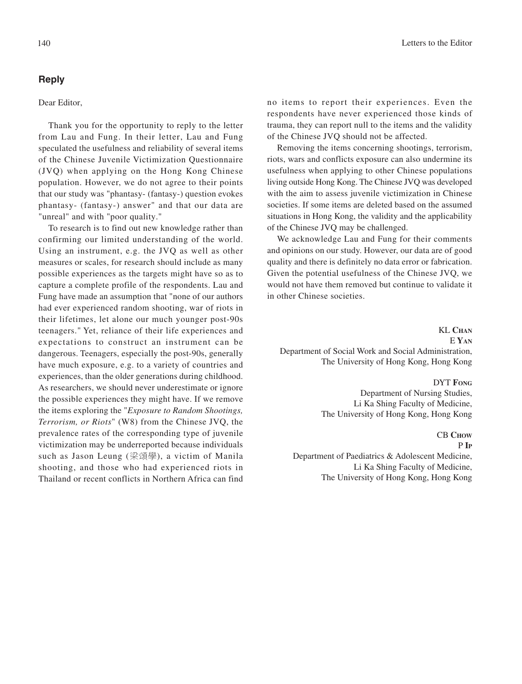# **Reply**

## Dear Editor,

Thank you for the opportunity to reply to the letter from Lau and Fung. In their letter, Lau and Fung speculated the usefulness and reliability of several items of the Chinese Juvenile Victimization Questionnaire (JVQ) when applying on the Hong Kong Chinese population. However, we do not agree to their points that our study was "phantasy- (fantasy-) question evokes phantasy- (fantasy-) answer" and that our data are "unreal" and with "poor quality."

To research is to find out new knowledge rather than confirming our limited understanding of the world. Using an instrument, e.g. the JVQ as well as other measures or scales, for research should include as many possible experiences as the targets might have so as to capture a complete profile of the respondents. Lau and Fung have made an assumption that "none of our authors had ever experienced random shooting, war of riots in their lifetimes, let alone our much younger post-90s teenagers." Yet, reliance of their life experiences and expectations to construct an instrument can be dangerous. Teenagers, especially the post-90s, generally have much exposure, e.g. to a variety of countries and experiences, than the older generations during childhood. As researchers, we should never underestimate or ignore the possible experiences they might have. If we remove the items exploring the "*Exposure to Random Shootings, Terrorism, or Riots*" (W8) from the Chinese JVQ, the prevalence rates of the corresponding type of juvenile victimization may be underreported because individuals such as Jason Leung (梁頌學), a victim of Manila shooting, and those who had experienced riots in Thailand or recent conflicts in Northern Africa can find

no items to report their experiences. Even the respondents have never experienced those kinds of trauma, they can report null to the items and the validity of the Chinese JVQ should not be affected.

Removing the items concerning shootings, terrorism, riots, wars and conflicts exposure can also undermine its usefulness when applying to other Chinese populations living outside Hong Kong. The Chinese JVQ was developed with the aim to assess juvenile victimization in Chinese societies. If some items are deleted based on the assumed situations in Hong Kong, the validity and the applicability of the Chinese JVQ may be challenged.

We acknowledge Lau and Fung for their comments and opinions on our study. However, our data are of good quality and there is definitely no data error or fabrication. Given the potential usefulness of the Chinese JVQ, we would not have them removed but continue to validate it in other Chinese societies.

KL **CHAN** E **YAN** Department of Social Work and Social Administration, The University of Hong Kong, Hong Kong

### DYT **FONG**

Department of Nursing Studies, Li Ka Shing Faculty of Medicine, The University of Hong Kong, Hong Kong

#### CB **CHOW** P **IP**

Department of Paediatrics & Adolescent Medicine, Li Ka Shing Faculty of Medicine, The University of Hong Kong, Hong Kong